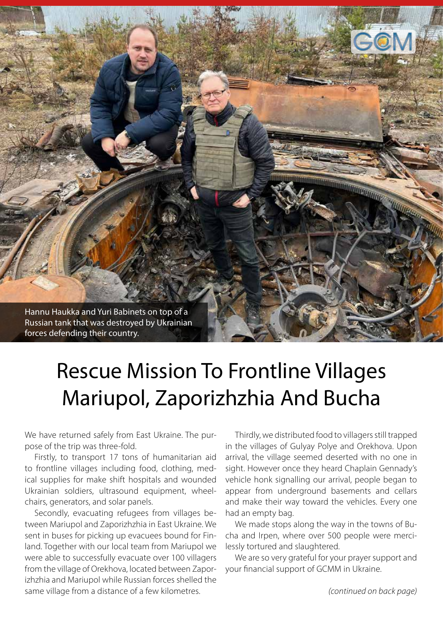Hannu Haukka and Yuri Babinets on top of a Russian tank that was destroyed by Ukrainian forces defending their country.

## Rescue Mission To Frontline Villages Mariupol, Zaporizhzhia And Bucha

We have returned safely from East Ukraine. The purpose of the trip was three-fold.

Firstly, to transport 17 tons of humanitarian aid to frontline villages including food, clothing, medical supplies for make shift hospitals and wounded Ukrainian soldiers, ultrasound equipment, wheelchairs, generators, and solar panels.

Secondly, evacuating refugees from villages between Mariupol and Zaporizhzhia in East Ukraine. We sent in buses for picking up evacuees bound for Finland. Together with our local team from Mariupol we were able to successfully evacuate over 100 villagers from the village of Orekhova, located between Zaporizhzhia and Mariupol while Russian forces shelled the same village from a distance of a few kilometres.

Thirdly, we distributed food to villagers still trapped in the villages of Gulyay Polye and Orekhova. Upon arrival, the village seemed deserted with no one in sight. However once they heard Chaplain Gennady's vehicle honk signalling our arrival, people began to appear from underground basements and cellars and make their way toward the vehicles. Every one had an empty bag.

We made stops along the way in the towns of Bucha and Irpen, where over 500 people were mercilessly tortured and slaughtered.

We are so very grateful for your prayer support and your financial support of GCMM in Ukraine.

*(continued on back page)*

MARTIN AND STATE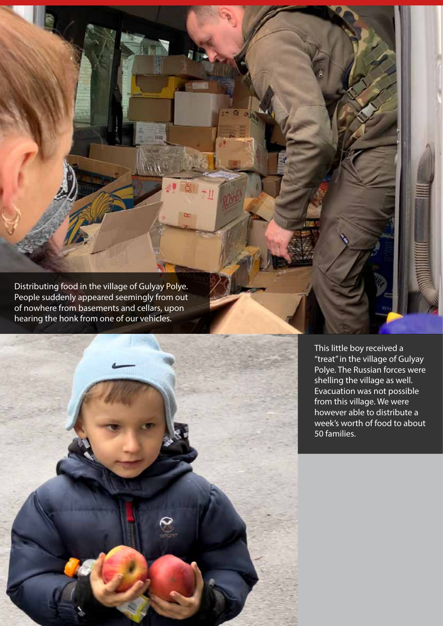Distributing food in the village of Gulyay Polye. People suddenly appeared seemingly from out of nowhere from basements and cellars, upon hearing the honk from one of our vehicles.



This little boy received a "treat" in the village of Gulyay Polye. The Russian forces were shelling the village as well. Evacuation was not possible from this village. We were however able to distribute a week's worth of food to about 50 families.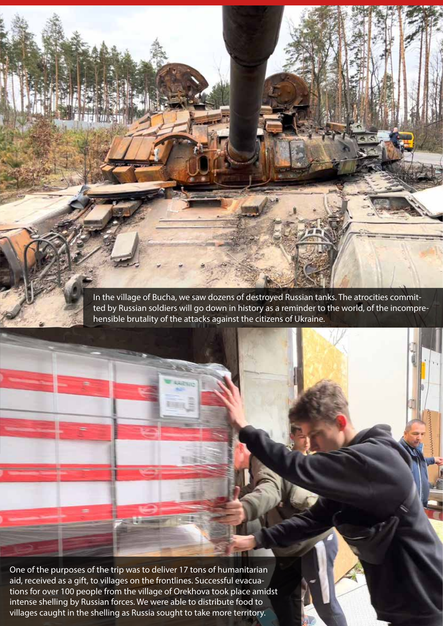In the village of Bucha, we saw dozens of destroyed Russian tanks. The atrocities committed by Russian soldiers will go down in history as a reminder to the world, of the incomprehensible brutality of the attacks against the citizens of Ukraine.

One of the purposes of the trip was to deliver 17 tons of humanitarian aid, received as a gift, to villages on the frontlines. Successful evacuations for over 100 people from the village of Orekhova took place amidst intense shelling by Russian forces. We were able to distribute food to villages caught in the shelling as Russia sought to take more territory.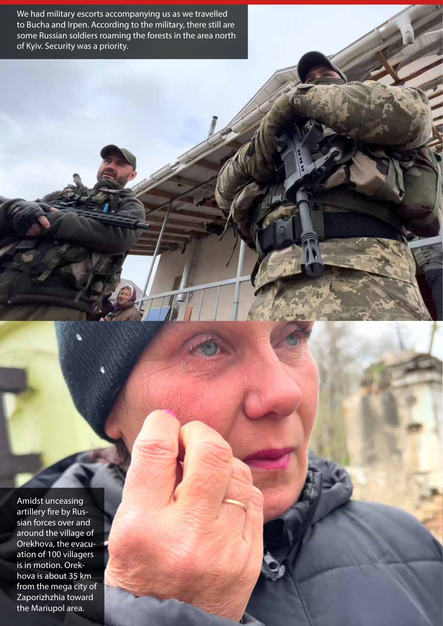We had military escorts accompanying us as we travelled to Bucha and Irpen. According to the military, there still are some Russian soldiers roaming the forests in the area north of Kyiv. Security was a priority.

Amidst unceasing artillery fire by Russian forces over and around the village of Orekhova, the evacuation of 100 villagers is in motion. Orekhova is about 35 km from the mega city of Zaporizhzhia toward the Mariupol area.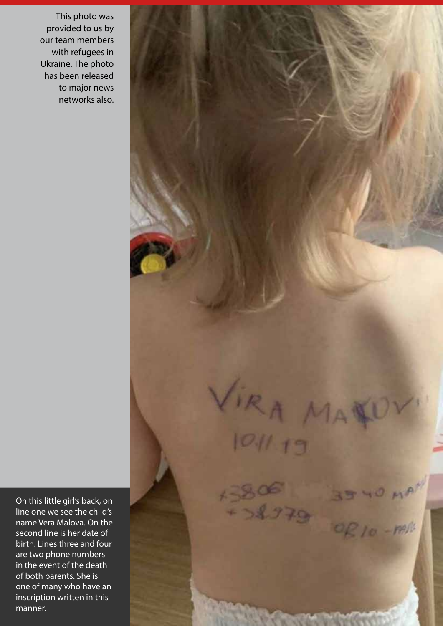This photo was provided to us by our team members with refugees in Ukraine. The photo has been released to major news networks also.



On this little girl's back, on line one we see the child's name Vera Malova. On the second line is her date of birth. Lines three and four are two phone numbers in the event of the death of both parents. She is one of many who have an inscription written in this manner.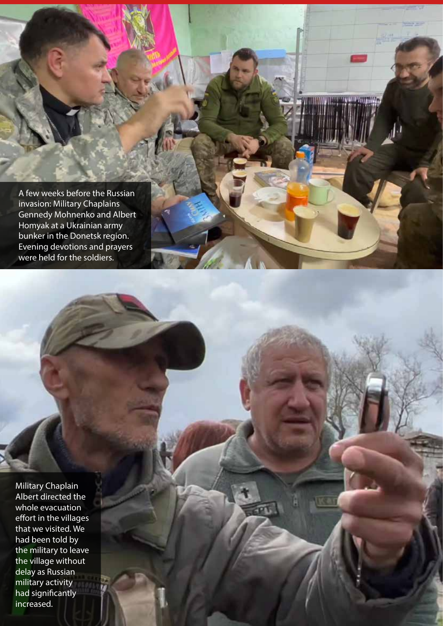A few weeks before the Russian invasion: Military Chaplains Gennedy Mohnenko and Albert Homyak at a Ukrainian army bunker in the Donetsk region. Evening devotions and prayers were held for the soldiers.

Military Chaplain Albert directed the whole evacuation effort in the villages that we visited. We had been told by the military to leave the village without delay as Russian military activity had significantly increased.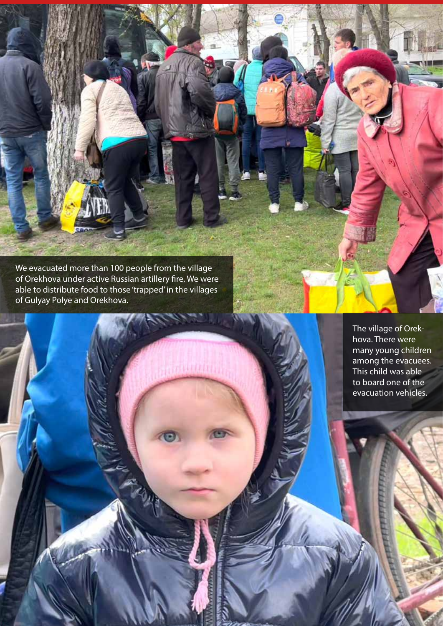We evacuated more than 100 people from the village of Orekhova under active Russian artillery fire. We were able to distribute food to those 'trapped' in the villages of Gulyay Polye and Orekhova.

 $r(1 + 1)$ 

 $\overline{(\bullet)}$ 

The village of Orekhova. There were many young children among the evacuees. This child was able to board one of the evacuation vehicles.